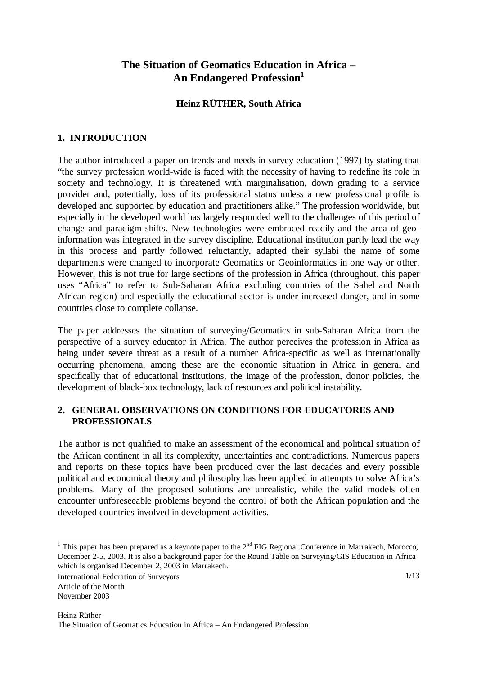# **The Situation of Geomatics Education in Africa –**  An Endangered Profession<sup>1</sup>

## **Heinz RÜTHER, South Africa**

### **1. INTRODUCTION**

The author introduced a paper on trends and needs in survey education (1997) by stating that "the survey profession world-wide is faced with the necessity of having to redefine its role in society and technology. It is threatened with marginalisation, down grading to a service provider and, potentially, loss of its professional status unless a new professional profile is developed and supported by education and practitioners alike." The profession worldwide, but especially in the developed world has largely responded well to the challenges of this period of change and paradigm shifts. New technologies were embraced readily and the area of geoinformation was integrated in the survey discipline. Educational institution partly lead the way in this process and partly followed reluctantly, adapted their syllabi the name of some departments were changed to incorporate Geomatics or Geoinformatics in one way or other. However, this is not true for large sections of the profession in Africa (throughout, this paper uses "Africa" to refer to Sub-Saharan Africa excluding countries of the Sahel and North African region) and especially the educational sector is under increased danger, and in some countries close to complete collapse.

The paper addresses the situation of surveying/Geomatics in sub-Saharan Africa from the perspective of a survey educator in Africa. The author perceives the profession in Africa as being under severe threat as a result of a number Africa-specific as well as internationally occurring phenomena, among these are the economic situation in Africa in general and specifically that of educational institutions, the image of the profession, donor policies, the development of black-box technology, lack of resources and political instability.

### **2. GENERAL OBSERVATIONS ON CONDITIONS FOR EDUCATORES AND PROFESSIONALS**

The author is not qualified to make an assessment of the economical and political situation of the African continent in all its complexity, uncertainties and contradictions. Numerous papers and reports on these topics have been produced over the last decades and every possible political and economical theory and philosophy has been applied in attempts to solve Africa's problems. Many of the proposed solutions are unrealistic, while the valid models often encounter unforeseeable problems beyond the control of both the African population and the developed countries involved in development activities.

 $\overline{a}$ 

<sup>&</sup>lt;sup>1</sup> This paper has been prepared as a keynote paper to the  $2<sup>nd</sup>$  FIG Regional Conference in Marrakech, Morocco, December 2-5, 2003. It is also a background paper for the Round Table on Surveying/GIS Education in Africa which is organised December 2, 2003 in Marrakech.

International Federation of Surveyors Article of the Month November 2003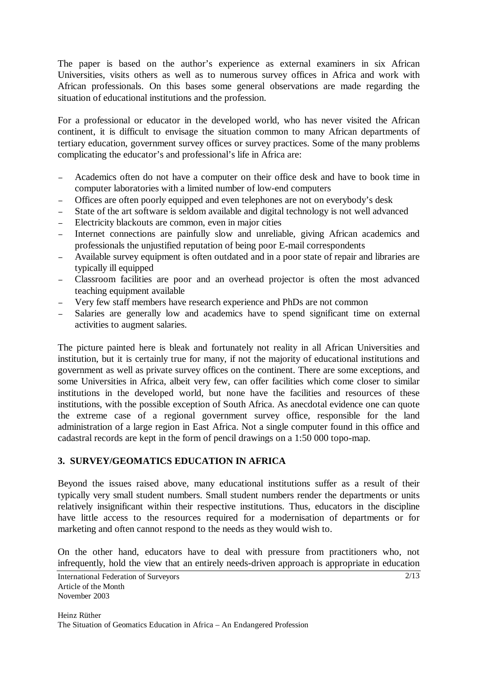The paper is based on the author's experience as external examiners in six African Universities, visits others as well as to numerous survey offices in Africa and work with African professionals. On this bases some general observations are made regarding the situation of educational institutions and the profession.

For a professional or educator in the developed world, who has never visited the African continent, it is difficult to envisage the situation common to many African departments of tertiary education, government survey offices or survey practices. Some of the many problems complicating the educator's and professional's life in Africa are:

- <sup>−</sup>Academics often do not have a computer on their office desk and have to book time in computer laboratories with a limited number of low-end computers
- Offices are often poorly equipped and even telephones are not on everybody's desk
- State of the art software is seldom available and digital technology is not well advanced
- Electricity blackouts are common, even in major cities
- Internet connections are painfully slow and unreliable, giving African academics and professionals the unjustified reputation of being poor E-mail correspondents
- <sup>−</sup>Available survey equipment is often outdated and in a poor state of repair and libraries are typically ill equipped
- <sup>−</sup>Classroom facilities are poor and an overhead projector is often the most advanced teaching equipment available
- Very few staff members have research experience and PhDs are not common
- Salaries are generally low and academics have to spend significant time on external activities to augment salaries.

The picture painted here is bleak and fortunately not reality in all African Universities and institution, but it is certainly true for many, if not the majority of educational institutions and government as well as private survey offices on the continent. There are some exceptions, and some Universities in Africa, albeit very few, can offer facilities which come closer to similar institutions in the developed world, but none have the facilities and resources of these institutions, with the possible exception of South Africa. As anecdotal evidence one can quote the extreme case of a regional government survey office, responsible for the land administration of a large region in East Africa. Not a single computer found in this office and cadastral records are kept in the form of pencil drawings on a 1:50 000 topo-map.

## **3. SURVEY/GEOMATICS EDUCATION IN AFRICA**

Beyond the issues raised above, many educational institutions suffer as a result of their typically very small student numbers. Small student numbers render the departments or units relatively insignificant within their respective institutions. Thus, educators in the discipline have little access to the resources required for a modernisation of departments or for marketing and often cannot respond to the needs as they would wish to.

On the other hand, educators have to deal with pressure from practitioners who, not infrequently, hold the view that an entirely needs-driven approach is appropriate in education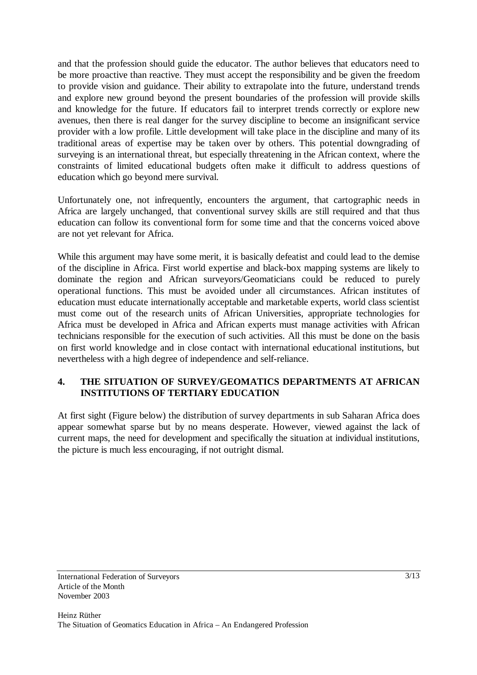and that the profession should guide the educator. The author believes that educators need to be more proactive than reactive. They must accept the responsibility and be given the freedom to provide vision and guidance. Their ability to extrapolate into the future, understand trends and explore new ground beyond the present boundaries of the profession will provide skills and knowledge for the future. If educators fail to interpret trends correctly or explore new avenues, then there is real danger for the survey discipline to become an insignificant service provider with a low profile. Little development will take place in the discipline and many of its traditional areas of expertise may be taken over by others. This potential downgrading of surveying is an international threat, but especially threatening in the African context, where the constraints of limited educational budgets often make it difficult to address questions of education which go beyond mere survival.

Unfortunately one, not infrequently, encounters the argument, that cartographic needs in Africa are largely unchanged, that conventional survey skills are still required and that thus education can follow its conventional form for some time and that the concerns voiced above are not yet relevant for Africa.

While this argument may have some merit, it is basically defeatist and could lead to the demise of the discipline in Africa. First world expertise and black-box mapping systems are likely to dominate the region and African surveyors/Geomaticians could be reduced to purely operational functions. This must be avoided under all circumstances. African institutes of education must educate internationally acceptable and marketable experts, world class scientist must come out of the research units of African Universities, appropriate technologies for Africa must be developed in Africa and African experts must manage activities with African technicians responsible for the execution of such activities. All this must be done on the basis on first world knowledge and in close contact with international educational institutions, but nevertheless with a high degree of independence and self-reliance.

### **4. THE SITUATION OF SURVEY/GEOMATICS DEPARTMENTS AT AFRICAN INSTITUTIONS OF TERTIARY EDUCATION**

At first sight (Figure below) the distribution of survey departments in sub Saharan Africa does appear somewhat sparse but by no means desperate. However, viewed against the lack of current maps, the need for development and specifically the situation at individual institutions, the picture is much less encouraging, if not outright dismal.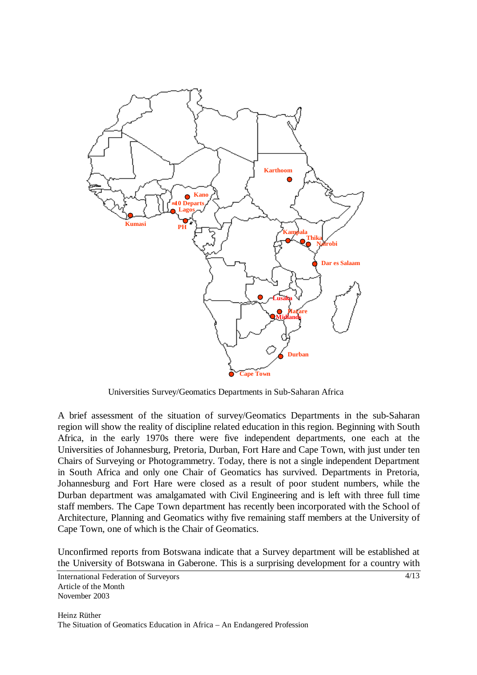

Universities Survey/Geomatics Departments in Sub-Saharan Africa

A brief assessment of the situation of survey/Geomatics Departments in the sub-Saharan region will show the reality of discipline related education in this region. Beginning with South Africa, in the early 1970s there were five independent departments, one each at the Universities of Johannesburg, Pretoria, Durban, Fort Hare and Cape Town, with just under ten Chairs of Surveying or Photogrammetry. Today, there is not a single independent Department in South Africa and only one Chair of Geomatics has survived. Departments in Pretoria, Johannesburg and Fort Hare were closed as a result of poor student numbers, while the Durban department was amalgamated with Civil Engineering and is left with three full time staff members. The Cape Town department has recently been incorporated with the School of Architecture, Planning and Geomatics withy five remaining staff members at the University of Cape Town, one of which is the Chair of Geomatics.

Unconfirmed reports from Botswana indicate that a Survey department will be established at the University of Botswana in Gaberone. This is a surprising development for a country with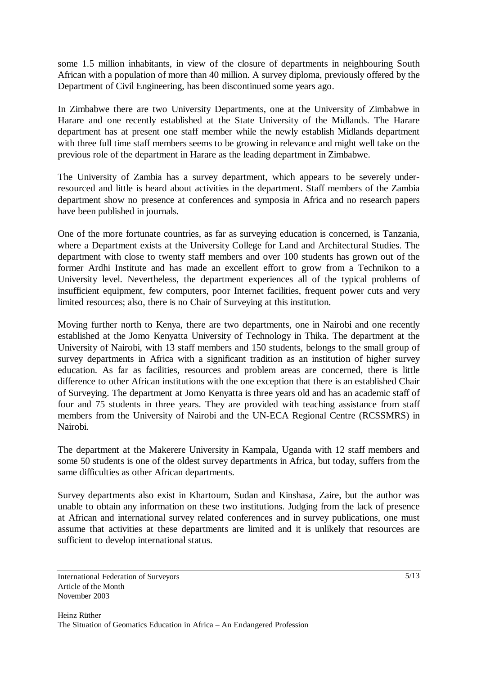some 1.5 million inhabitants, in view of the closure of departments in neighbouring South African with a population of more than 40 million. A survey diploma, previously offered by the Department of Civil Engineering, has been discontinued some years ago.

In Zimbabwe there are two University Departments, one at the University of Zimbabwe in Harare and one recently established at the State University of the Midlands. The Harare department has at present one staff member while the newly establish Midlands department with three full time staff members seems to be growing in relevance and might well take on the previous role of the department in Harare as the leading department in Zimbabwe.

The University of Zambia has a survey department, which appears to be severely underresourced and little is heard about activities in the department. Staff members of the Zambia department show no presence at conferences and symposia in Africa and no research papers have been published in journals.

One of the more fortunate countries, as far as surveying education is concerned, is Tanzania, where a Department exists at the University College for Land and Architectural Studies. The department with close to twenty staff members and over 100 students has grown out of the former Ardhi Institute and has made an excellent effort to grow from a Technikon to a University level. Nevertheless, the department experiences all of the typical problems of insufficient equipment, few computers, poor Internet facilities, frequent power cuts and very limited resources; also, there is no Chair of Surveying at this institution.

Moving further north to Kenya, there are two departments, one in Nairobi and one recently established at the Jomo Kenyatta University of Technology in Thika. The department at the University of Nairobi, with 13 staff members and 150 students, belongs to the small group of survey departments in Africa with a significant tradition as an institution of higher survey education. As far as facilities, resources and problem areas are concerned, there is little difference to other African institutions with the one exception that there is an established Chair of Surveying. The department at Jomo Kenyatta is three years old and has an academic staff of four and 75 students in three years. They are provided with teaching assistance from staff members from the University of Nairobi and the UN-ECA Regional Centre (RCSSMRS) in Nairobi.

The department at the Makerere University in Kampala, Uganda with 12 staff members and some 50 students is one of the oldest survey departments in Africa, but today, suffers from the same difficulties as other African departments.

Survey departments also exist in Khartoum, Sudan and Kinshasa, Zaire, but the author was unable to obtain any information on these two institutions. Judging from the lack of presence at African and international survey related conferences and in survey publications, one must assume that activities at these departments are limited and it is unlikely that resources are sufficient to develop international status.

International Federation of Surveyors Article of the Month November 2003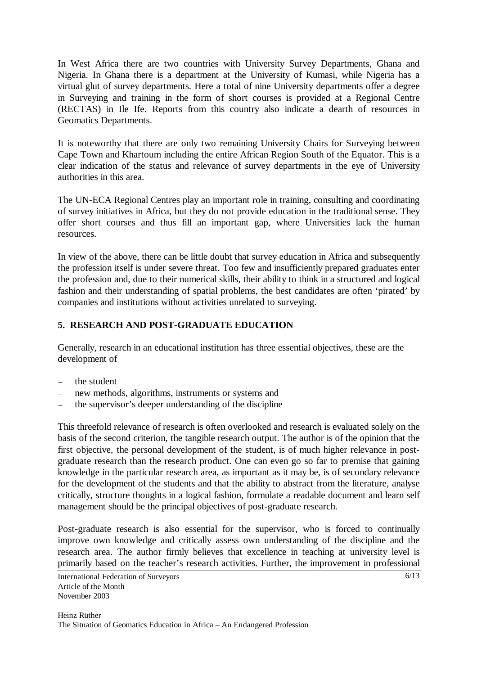In West Africa there are two countries with University Survey Departments, Ghana and Nigeria. In Ghana there is a department at the University of Kumasi, while Nigeria has a virtual glut of survey departments. Here a total of nine University departments offer a degree in Surveying and training in the form of short courses is provided at a Regional Centre (RECTAS) in Ile Ife. Reports from this country also indicate a dearth of resources in Geomatics Departments.

It is noteworthy that there are only two remaining University Chairs for Surveying between Cape Town and Khartoum including the entire African Region South of the Equator. This is a clear indication of the status and relevance of survey departments in the eye of University authorities in this area.

The UN-ECA Regional Centres play an important role in training, consulting and coordinating of survey initiatives in Africa, but they do not provide education in the traditional sense. They offer short courses and thus fill an important gap, where Universities lack the human resources.

In view of the above, there can be little doubt that survey education in Africa and subsequently the profession itself is under severe threat. Too few and insufficiently prepared graduates enter the profession and, due to their numerical skills, their ability to think in a structured and logical fashion and their understanding of spatial problems, the best candidates are often 'pirated' by companies and institutions without activities unrelated to surveying.

## **5. RESEARCH AND POST-GRADUATE EDUCATION**

Generally, research in an educational institution has three essential objectives, these are the development of

- the student
- new methods, algorithms, instruments or systems and
- the supervisor's deeper understanding of the discipline

This threefold relevance of research is often overlooked and research is evaluated solely on the basis of the second criterion, the tangible research output. The author is of the opinion that the first objective, the personal development of the student, is of much higher relevance in postgraduate research than the research product. One can even go so far to premise that gaining knowledge in the particular research area, as important as it may be, is of secondary relevance for the development of the students and that the ability to abstract from the literature, analyse critically, structure thoughts in a logical fashion, formulate a readable document and learn self management should be the principal objectives of post-graduate research.

Post-graduate research is also essential for the supervisor, who is forced to continually improve own knowledge and critically assess own understanding of the discipline and the research area. The author firmly believes that excellence in teaching at university level is primarily based on the teacher's research activities. Further, the improvement in professional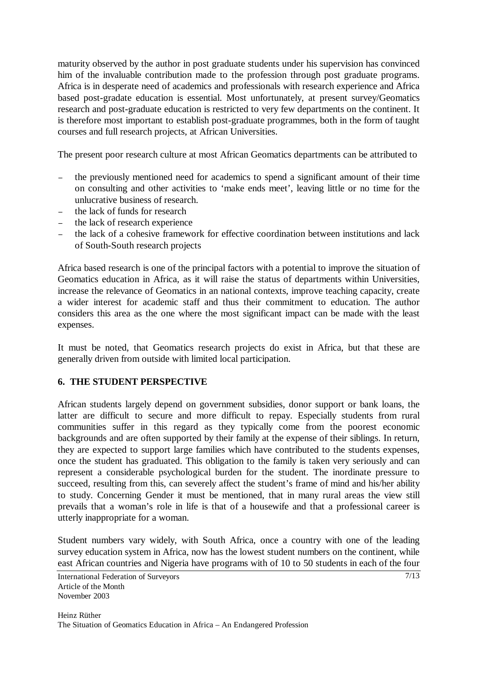maturity observed by the author in post graduate students under his supervision has convinced him of the invaluable contribution made to the profession through post graduate programs. Africa is in desperate need of academics and professionals with research experience and Africa based post-gradate education is essential. Most unfortunately, at present survey/Geomatics research and post-graduate education is restricted to very few departments on the continent. It is therefore most important to establish post-graduate programmes, both in the form of taught courses and full research projects, at African Universities.

The present poor research culture at most African Geomatics departments can be attributed to

- the previously mentioned need for academics to spend a significant amount of their time on consulting and other activities to 'make ends meet', leaving little or no time for the unlucrative business of research.
- the lack of funds for research
- the lack of research experience
- the lack of a cohesive framework for effective coordination between institutions and lack of South-South research projects

Africa based research is one of the principal factors with a potential to improve the situation of Geomatics education in Africa, as it will raise the status of departments within Universities, increase the relevance of Geomatics in an national contexts, improve teaching capacity, create a wider interest for academic staff and thus their commitment to education. The author considers this area as the one where the most significant impact can be made with the least expenses.

It must be noted, that Geomatics research projects do exist in Africa, but that these are generally driven from outside with limited local participation.

### **6. THE STUDENT PERSPECTIVE**

African students largely depend on government subsidies, donor support or bank loans, the latter are difficult to secure and more difficult to repay. Especially students from rural communities suffer in this regard as they typically come from the poorest economic backgrounds and are often supported by their family at the expense of their siblings. In return, they are expected to support large families which have contributed to the students expenses, once the student has graduated. This obligation to the family is taken very seriously and can represent a considerable psychological burden for the student. The inordinate pressure to succeed, resulting from this, can severely affect the student's frame of mind and his/her ability to study. Concerning Gender it must be mentioned, that in many rural areas the view still prevails that a woman's role in life is that of a housewife and that a professional career is utterly inappropriate for a woman.

Student numbers vary widely, with South Africa, once a country with one of the leading survey education system in Africa, now has the lowest student numbers on the continent, while east African countries and Nigeria have programs with of 10 to 50 students in each of the four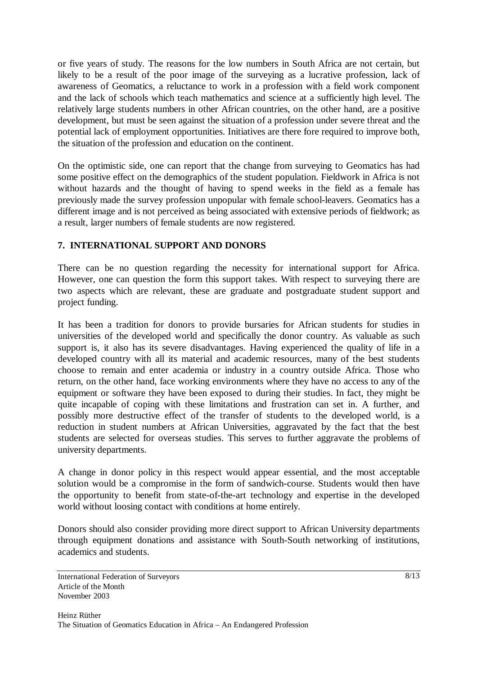or five years of study. The reasons for the low numbers in South Africa are not certain, but likely to be a result of the poor image of the surveying as a lucrative profession, lack of awareness of Geomatics, a reluctance to work in a profession with a field work component and the lack of schools which teach mathematics and science at a sufficiently high level. The relatively large students numbers in other African countries, on the other hand, are a positive development, but must be seen against the situation of a profession under severe threat and the potential lack of employment opportunities. Initiatives are there fore required to improve both, the situation of the profession and education on the continent.

On the optimistic side, one can report that the change from surveying to Geomatics has had some positive effect on the demographics of the student population. Fieldwork in Africa is not without hazards and the thought of having to spend weeks in the field as a female has previously made the survey profession unpopular with female school-leavers. Geomatics has a different image and is not perceived as being associated with extensive periods of fieldwork; as a result, larger numbers of female students are now registered.

### **7. INTERNATIONAL SUPPORT AND DONORS**

There can be no question regarding the necessity for international support for Africa. However, one can question the form this support takes. With respect to surveying there are two aspects which are relevant, these are graduate and postgraduate student support and project funding.

It has been a tradition for donors to provide bursaries for African students for studies in universities of the developed world and specifically the donor country. As valuable as such support is, it also has its severe disadvantages. Having experienced the quality of life in a developed country with all its material and academic resources, many of the best students choose to remain and enter academia or industry in a country outside Africa. Those who return, on the other hand, face working environments where they have no access to any of the equipment or software they have been exposed to during their studies. In fact, they might be quite incapable of coping with these limitations and frustration can set in. A further, and possibly more destructive effect of the transfer of students to the developed world, is a reduction in student numbers at African Universities, aggravated by the fact that the best students are selected for overseas studies. This serves to further aggravate the problems of university departments.

A change in donor policy in this respect would appear essential, and the most acceptable solution would be a compromise in the form of sandwich-course. Students would then have the opportunity to benefit from state-of-the-art technology and expertise in the developed world without loosing contact with conditions at home entirely.

Donors should also consider providing more direct support to African University departments through equipment donations and assistance with South-South networking of institutions, academics and students.

International Federation of Surveyors Article of the Month November 2003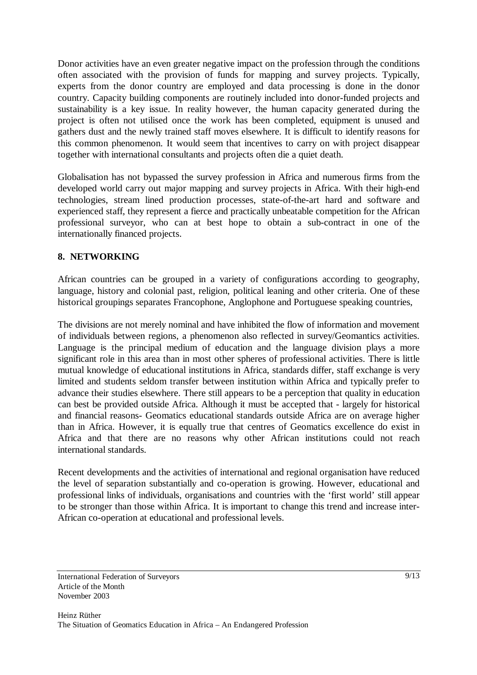Donor activities have an even greater negative impact on the profession through the conditions often associated with the provision of funds for mapping and survey projects. Typically, experts from the donor country are employed and data processing is done in the donor country. Capacity building components are routinely included into donor-funded projects and sustainability is a key issue. In reality however, the human capacity generated during the project is often not utilised once the work has been completed, equipment is unused and gathers dust and the newly trained staff moves elsewhere. It is difficult to identify reasons for this common phenomenon. It would seem that incentives to carry on with project disappear together with international consultants and projects often die a quiet death.

Globalisation has not bypassed the survey profession in Africa and numerous firms from the developed world carry out major mapping and survey projects in Africa. With their high-end technologies, stream lined production processes, state-of-the-art hard and software and experienced staff, they represent a fierce and practically unbeatable competition for the African professional surveyor, who can at best hope to obtain a sub-contract in one of the internationally financed projects.

### **8. NETWORKING**

African countries can be grouped in a variety of configurations according to geography, language, history and colonial past, religion, political leaning and other criteria. One of these historical groupings separates Francophone, Anglophone and Portuguese speaking countries,

The divisions are not merely nominal and have inhibited the flow of information and movement of individuals between regions, a phenomenon also reflected in survey/Geomantics activities. Language is the principal medium of education and the language division plays a more significant role in this area than in most other spheres of professional activities. There is little mutual knowledge of educational institutions in Africa, standards differ, staff exchange is very limited and students seldom transfer between institution within Africa and typically prefer to advance their studies elsewhere. There still appears to be a perception that quality in education can best be provided outside Africa. Although it must be accepted that - largely for historical and financial reasons- Geomatics educational standards outside Africa are on average higher than in Africa. However, it is equally true that centres of Geomatics excellence do exist in Africa and that there are no reasons why other African institutions could not reach international standards.

Recent developments and the activities of international and regional organisation have reduced the level of separation substantially and co-operation is growing. However, educational and professional links of individuals, organisations and countries with the 'first world' still appear to be stronger than those within Africa. It is important to change this trend and increase inter-African co-operation at educational and professional levels.

International Federation of Surveyors Article of the Month November 2003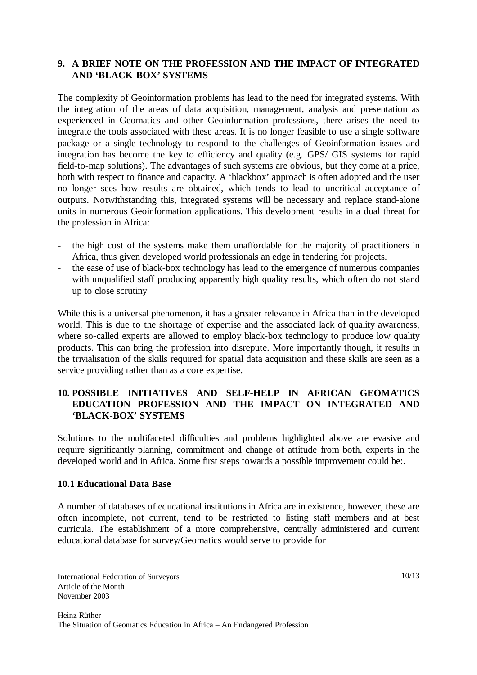### **9. A BRIEF NOTE ON THE PROFESSION AND THE IMPACT OF INTEGRATED AND 'BLACK-BOX' SYSTEMS**

The complexity of Geoinformation problems has lead to the need for integrated systems. With the integration of the areas of data acquisition, management, analysis and presentation as experienced in Geomatics and other Geoinformation professions, there arises the need to integrate the tools associated with these areas. It is no longer feasible to use a single software package or a single technology to respond to the challenges of Geoinformation issues and integration has become the key to efficiency and quality (e.g. GPS/ GIS systems for rapid field-to-map solutions). The advantages of such systems are obvious, but they come at a price, both with respect to finance and capacity. A 'blackbox' approach is often adopted and the user no longer sees how results are obtained, which tends to lead to uncritical acceptance of outputs. Notwithstanding this, integrated systems will be necessary and replace stand-alone units in numerous Geoinformation applications. This development results in a dual threat for the profession in Africa:

- the high cost of the systems make them unaffordable for the majority of practitioners in Africa, thus given developed world professionals an edge in tendering for projects.
- the ease of use of black-box technology has lead to the emergence of numerous companies with unqualified staff producing apparently high quality results, which often do not stand up to close scrutiny

While this is a universal phenomenon, it has a greater relevance in Africa than in the developed world. This is due to the shortage of expertise and the associated lack of quality awareness, where so-called experts are allowed to employ black-box technology to produce low quality products. This can bring the profession into disrepute. More importantly though, it results in the trivialisation of the skills required for spatial data acquisition and these skills are seen as a service providing rather than as a core expertise.

## **10. POSSIBLE INITIATIVES AND SELF-HELP IN AFRICAN GEOMATICS EDUCATION PROFESSION AND THE IMPACT ON INTEGRATED AND 'BLACK-BOX' SYSTEMS**

Solutions to the multifaceted difficulties and problems highlighted above are evasive and require significantly planning, commitment and change of attitude from both, experts in the developed world and in Africa. Some first steps towards a possible improvement could be:.

### **10.1 Educational Data Base**

A number of databases of educational institutions in Africa are in existence, however, these are often incomplete, not current, tend to be restricted to listing staff members and at best curricula. The establishment of a more comprehensive, centrally administered and current educational database for survey/Geomatics would serve to provide for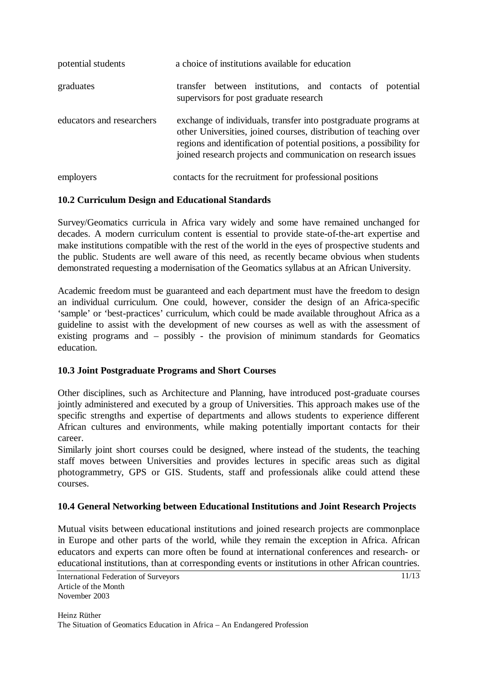| potential students        | a choice of institutions available for education                                                                                                                                                                                                                              |
|---------------------------|-------------------------------------------------------------------------------------------------------------------------------------------------------------------------------------------------------------------------------------------------------------------------------|
| graduates                 | between institutions, and contacts of potential<br>transfer<br>supervisors for post graduate research                                                                                                                                                                         |
| educators and researchers | exchange of individuals, transfer into postgraduate programs at<br>other Universities, joined courses, distribution of teaching over<br>regions and identification of potential positions, a possibility for<br>joined research projects and communication on research issues |
| employers                 | contacts for the recruitment for professional positions                                                                                                                                                                                                                       |

### **10.2 Curriculum Design and Educational Standards**

Survey/Geomatics curricula in Africa vary widely and some have remained unchanged for decades. A modern curriculum content is essential to provide state-of-the-art expertise and make institutions compatible with the rest of the world in the eyes of prospective students and the public. Students are well aware of this need, as recently became obvious when students demonstrated requesting a modernisation of the Geomatics syllabus at an African University.

Academic freedom must be guaranteed and each department must have the freedom to design an individual curriculum. One could, however, consider the design of an Africa-specific 'sample' or 'best-practices' curriculum, which could be made available throughout Africa as a guideline to assist with the development of new courses as well as with the assessment of existing programs and – possibly - the provision of minimum standards for Geomatics education.

### **10.3 Joint Postgraduate Programs and Short Courses**

Other disciplines, such as Architecture and Planning, have introduced post-graduate courses jointly administered and executed by a group of Universities. This approach makes use of the specific strengths and expertise of departments and allows students to experience different African cultures and environments, while making potentially important contacts for their career.

Similarly joint short courses could be designed, where instead of the students, the teaching staff moves between Universities and provides lectures in specific areas such as digital photogrammetry, GPS or GIS. Students, staff and professionals alike could attend these courses.

### **10.4 General Networking between Educational Institutions and Joint Research Projects**

Mutual visits between educational institutions and joined research projects are commonplace in Europe and other parts of the world, while they remain the exception in Africa. African educators and experts can more often be found at international conferences and research- or educational institutions, than at corresponding events or institutions in other African countries.

11/13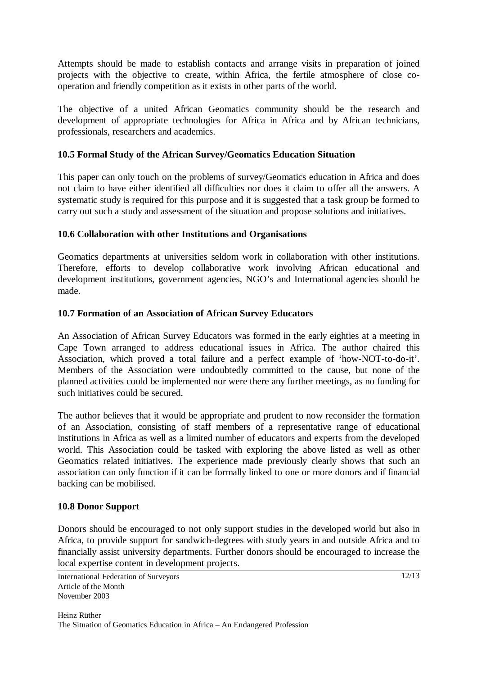Attempts should be made to establish contacts and arrange visits in preparation of joined projects with the objective to create, within Africa, the fertile atmosphere of close cooperation and friendly competition as it exists in other parts of the world.

The objective of a united African Geomatics community should be the research and development of appropriate technologies for Africa in Africa and by African technicians, professionals, researchers and academics.

### **10.5 Formal Study of the African Survey/Geomatics Education Situation**

This paper can only touch on the problems of survey/Geomatics education in Africa and does not claim to have either identified all difficulties nor does it claim to offer all the answers. A systematic study is required for this purpose and it is suggested that a task group be formed to carry out such a study and assessment of the situation and propose solutions and initiatives.

### **10.6 Collaboration with other Institutions and Organisations**

Geomatics departments at universities seldom work in collaboration with other institutions. Therefore, efforts to develop collaborative work involving African educational and development institutions, government agencies, NGO's and International agencies should be made.

#### **10.7 Formation of an Association of African Survey Educators**

An Association of African Survey Educators was formed in the early eighties at a meeting in Cape Town arranged to address educational issues in Africa. The author chaired this Association, which proved a total failure and a perfect example of 'how-NOT-to-do-it'. Members of the Association were undoubtedly committed to the cause, but none of the planned activities could be implemented nor were there any further meetings, as no funding for such initiatives could be secured.

The author believes that it would be appropriate and prudent to now reconsider the formation of an Association, consisting of staff members of a representative range of educational institutions in Africa as well as a limited number of educators and experts from the developed world. This Association could be tasked with exploring the above listed as well as other Geomatics related initiatives. The experience made previously clearly shows that such an association can only function if it can be formally linked to one or more donors and if financial backing can be mobilised.

### **10.8 Donor Support**

Donors should be encouraged to not only support studies in the developed world but also in Africa, to provide support for sandwich-degrees with study years in and outside Africa and to financially assist university departments. Further donors should be encouraged to increase the local expertise content in development projects.